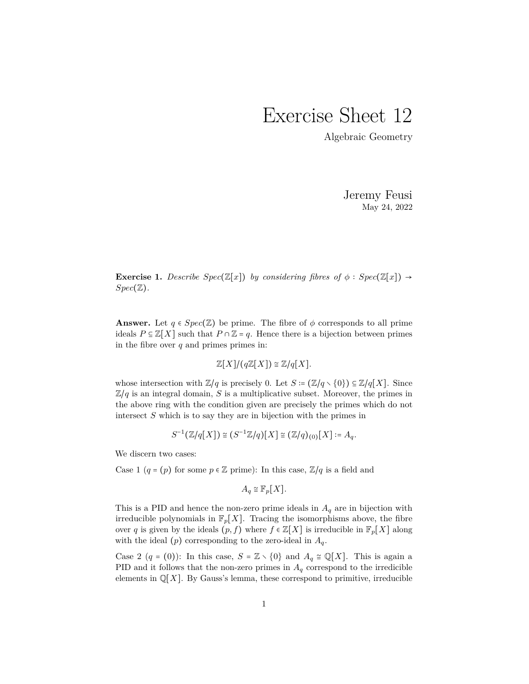## Exercise Sheet 12

Algebraic Geometry

Jeremy Feusi May 24, 2022

**Exercise 1.** *Describe*  $Spec(\mathbb{Z}[x])$  *by considering fibres of*  $\phi : Spec(\mathbb{Z}[x]) \rightarrow$ *Spec*(Z)*.*

**Answer.** Let  $q \in Spec(\mathbb{Z})$  be prime. The fibre of  $\phi$  corresponds to all prime ideals  $P \subseteq \mathbb{Z}[X]$  such that  $P \cap \mathbb{Z} = q$ . Hence there is a bijection between primes in the fibre over *q* and primes primes in:

 $\mathbb{Z}[X]/(q\mathbb{Z}[X]) \cong \mathbb{Z}/q[X].$ 

whose intersection with  $\mathbb{Z}/q$  is precisely 0. Let  $S = (\mathbb{Z}/q \setminus \{0\}) \subseteq \mathbb{Z}/q[X]$ . Since  $\mathbb{Z}/q$  is an integral domain, *S* is a multiplicative subset. Moreover, the primes in the above ring with the condition given are precisely the primes which do not intersect *S* which is to say they are in bijection with the primes in

$$
S^{-1}(\mathbb{Z}/q[X]) \cong (S^{-1}\mathbb{Z}/q)[X] \cong (\mathbb{Z}/q)_{(0)}[X] \coloneqq A_q.
$$

We discern two cases:

Case 1 ( $q = (p)$  for some  $p \in \mathbb{Z}$  prime): In this case,  $\mathbb{Z}/q$  is a field and

$$
A_q \cong \mathbb{F}_p[X].
$$

This is a PID and hence the non-zero prime ideals in *A<sup>q</sup>* are in bijection with irreducible polynomials in  $\mathbb{F}_p[X]$ . Tracing the isomorphisms above, the fibre over *q* is given by the ideals  $(p, f)$  where  $f \in \mathbb{Z}[X]$  is irreducible in  $\mathbb{F}_p[X]$  along with the ideal  $(p)$  corresponding to the zero-ideal in  $A_q$ .

Case 2 (*q* = (0)): In this case,  $S = \mathbb{Z} \setminus \{0\}$  and  $A_q \cong \mathbb{Q}[X]$ . This is again a PID and it follows that the non-zero primes in  $A<sub>q</sub>$  correspond to the irredicible elements in  $\mathbb{Q}[X]$ . By Gauss's lemma, these correspond to primitive, irreducible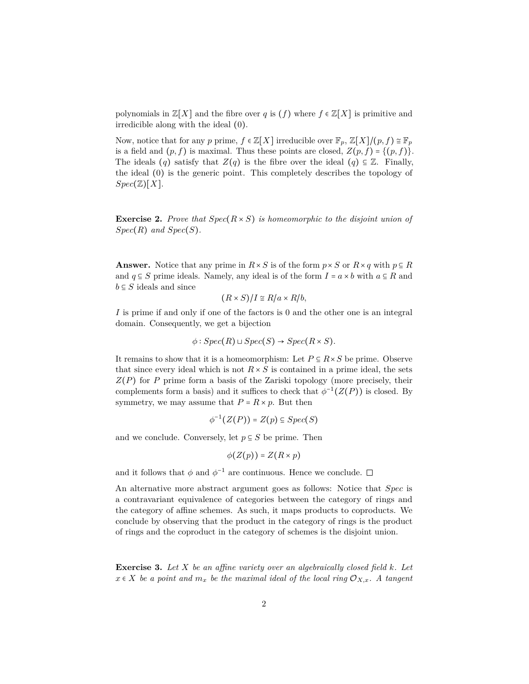polynomials in  $\mathbb{Z}[X]$  and the fibre over *q* is (*f*) where  $f \in \mathbb{Z}[X]$  is primitive and irredicible along with the ideal (0).

Now, notice that for any *p* prime,  $f \in \mathbb{Z}[X]$  irreducible over  $\mathbb{F}_p$ ,  $\mathbb{Z}[X]/(p, f) \cong \mathbb{F}_p$ is a field and  $(p, f)$  is maximal. Thus these points are closed,  $Z(p, f) = \{(p, f)\}.$ The ideals  $(q)$  satisfy that  $Z(q)$  is the fibre over the ideal  $(q) \subseteq \mathbb{Z}$ . Finally, the ideal (0) is the generic point. This completely describes the topology of  $Spec(\mathbb{Z})[X].$ 

**Exercise 2.** *Prove that*  $Spec(R \times S)$  *is homeomorphic to the disjoint union of*  $Spec(R)$  *and*  $Spec(S)$ *.* 

**Answer.** Notice that any prime in  $R \times S$  is of the form  $p \times S$  or  $R \times q$  with  $p \subseteq R$ and  $q \subseteq S$  prime ideals. Namely, any ideal is of the form  $I = a \times b$  with  $a \subseteq R$  and  $b \subseteq S$  ideals and since

$$
(R \times S)/I \cong R/a \times R/b,
$$

*I* is prime if and only if one of the factors is 0 and the other one is an integral domain. Consequently, we get a bijection

$$
\phi: Spec(R) \sqcup Spec(S) \rightarrow Spec(R \times S).
$$

It remains to show that it is a homeomorphism: Let  $P \subseteq R \times S$  be prime. Observe that since every ideal which is not  $R \times S$  is contained in a prime ideal, the sets *Z*(*P*) for *P* prime form a basis of the Zariski topology (more precisely, their complements form a basis) and it suffices to check that  $\phi^{-1}(Z(P))$  is closed. By symmetry, we may assume that  $P = R \times p$ . But then

$$
\phi^{-1}(Z(P))=Z(p)\subseteq Spec(S)
$$

and we conclude. Conversely, let  $p \subseteq S$  be prime. Then

$$
\phi(Z(p)) = Z(R \times p)
$$

and it follows that  $\phi$  and  $\phi^{-1}$  are continuous. Hence we conclude.

An alternative more abstract argument goes as follows: Notice that *Spec* is a contravariant equivalence of categories between the category of rings and the category of affine schemes. As such, it maps products to coproducts. We conclude by observing that the product in the category of rings is the product of rings and the coproduct in the category of schemes is the disjoint union.

**Exercise 3.** *Let X be an affine variety over an algebraically closed field k. Let*  $x \in X$  *be a point and*  $m_x$  *be the maximal ideal of the local ring*  $\mathcal{O}_{X,x}$ *. A tangent*